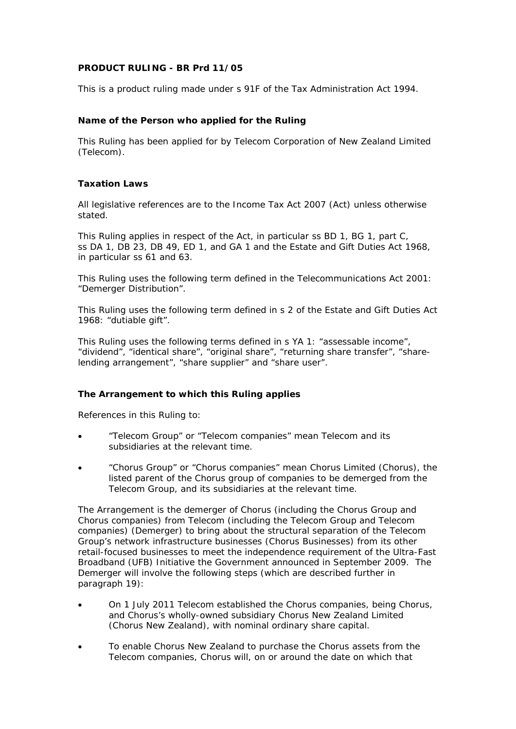# **PRODUCT RULING - BR Prd 11/05**

This is a product ruling made under s 91F of the Tax Administration Act 1994.

# **Name of the Person who applied for the Ruling**

This Ruling has been applied for by Telecom Corporation of New Zealand Limited (Telecom).

# **Taxation Laws**

All legislative references are to the Income Tax Act 2007 (Act) unless otherwise stated.

This Ruling applies in respect of the Act, in particular ss BD 1, BG 1, part C, ss DA 1, DB 23, DB 49, ED 1, and GA 1 and the Estate and Gift Duties Act 1968, in particular ss 61 and 63.

This Ruling uses the following term defined in the Telecommunications Act 2001: "Demerger Distribution".

This Ruling uses the following term defined in s 2 of the Estate and Gift Duties Act 1968: "dutiable gift".

This Ruling uses the following terms defined in s YA 1: "assessable income", "dividend", "identical share", "original share", "returning share transfer", "sharelending arrangement", "share supplier" and "share user".

# **The Arrangement to which this Ruling applies**

References in this Ruling to:

- "Telecom Group" or "Telecom companies" mean Telecom and its subsidiaries at the relevant time.
- "Chorus Group" or "Chorus companies" mean Chorus Limited (Chorus), the listed parent of the Chorus group of companies to be demerged from the Telecom Group, and its subsidiaries at the relevant time.

The Arrangement is the demerger of Chorus (including the Chorus Group and Chorus companies) from Telecom (including the Telecom Group and Telecom companies) (Demerger) to bring about the structural separation of the Telecom Group's network infrastructure businesses (Chorus Businesses) from its other retail-focused businesses to meet the independence requirement of the Ultra-Fast Broadband (UFB) Initiative the Government announced in September 2009. The Demerger will involve the following steps (which are described further in paragraph 19):

- On 1 July 2011 Telecom established the Chorus companies, being Chorus, and Chorus's wholly-owned subsidiary Chorus New Zealand Limited (Chorus New Zealand), with nominal ordinary share capital.
- To enable Chorus New Zealand to purchase the Chorus assets from the Telecom companies, Chorus will, on or around the date on which that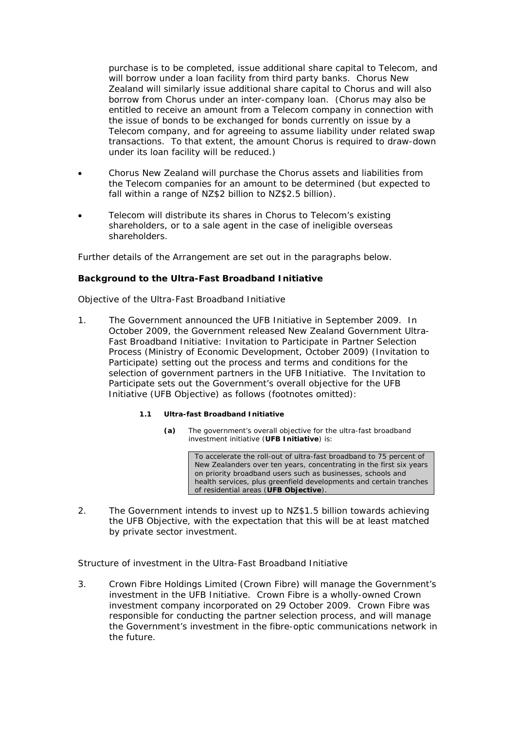purchase is to be completed, issue additional share capital to Telecom, and will borrow under a loan facility from third party banks. Chorus New Zealand will similarly issue additional share capital to Chorus and will also borrow from Chorus under an inter-company loan. (Chorus may also be entitled to receive an amount from a Telecom company in connection with the issue of bonds to be exchanged for bonds currently on issue by a Telecom company, and for agreeing to assume liability under related swap transactions. To that extent, the amount Chorus is required to draw-down under its loan facility will be reduced.)

- Chorus New Zealand will purchase the Chorus assets and liabilities from the Telecom companies for an amount to be determined (but expected to fall within a range of NZ\$2 billion to NZ\$2.5 billion).
- Telecom will distribute its shares in Chorus to Telecom's existing shareholders, or to a sale agent in the case of ineligible overseas shareholders.

Further details of the Arrangement are set out in the paragraphs below.

# **Background to the Ultra-Fast Broadband Initiative**

### *Objective of the Ultra-Fast Broadband Initiative*

1. The Government announced the UFB Initiative in September 2009. In October 2009, the Government released *New Zealand Government Ultra-Fast Broadband Initiative: Invitation to Participate in Partner Selection Process* (Ministry of Economic Development, October 2009) (Invitation to Participate) setting out the process and terms and conditions for the selection of government partners in the UFB Initiative. The Invitation to Participate sets out the Government's overall objective for the UFB Initiative (UFB Objective) as follows (footnotes omitted):

### **1.1 Ultra-fast Broadband Initiative**

**(a)** The government's overall objective for the ultra-fast broadband investment initiative (**UFB Initiative**) is:

> To accelerate the roll-out of ultra-fast broadband to 75 percent of New Zealanders over ten years, concentrating in the first six years on priority broadband users such as businesses, schools and health services, plus greenfield developments and certain tranches of residential areas (**UFB Objective**).

2. The Government intends to invest up to NZ\$1.5 billion towards achieving the UFB Objective, with the expectation that this will be at least matched by private sector investment.

# *Structure of investment in the Ultra-Fast Broadband Initiative*

3. Crown Fibre Holdings Limited (Crown Fibre) will manage the Government's investment in the UFB Initiative. Crown Fibre is a wholly-owned Crown investment company incorporated on 29 October 2009. Crown Fibre was responsible for conducting the partner selection process, and will manage the Government's investment in the fibre-optic communications network in the future.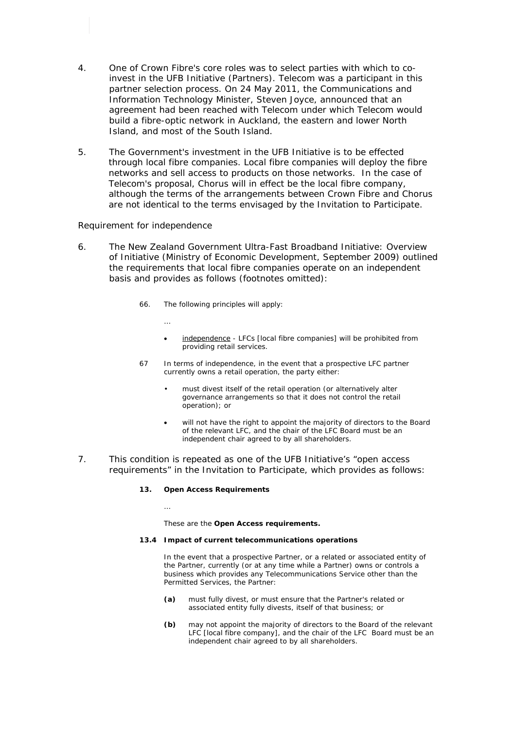- 4. One of Crown Fibre's core roles was to select parties with which to coinvest in the UFB Initiative (Partners). Telecom was a participant in this partner selection process. On 24 May 2011, the Communications and Information Technology Minister, Steven Joyce, announced that an agreement had been reached with Telecom under which Telecom would build a fibre-optic network in Auckland, the eastern and lower North Island, and most of the South Island.
- 5. The Government's investment in the UFB Initiative is to be effected through local fibre companies. Local fibre companies will deploy the fibre networks and sell access to products on those networks. In the case of Telecom's proposal, Chorus will in effect be the local fibre company, although the terms of the arrangements between Crown Fibre and Chorus are not identical to the terms envisaged by the Invitation to Participate.

### *Requirement for independence*

…

…

- 6. The *New Zealand Government Ultra-Fast Broadband Initiative: Overview of Initiative* (Ministry of Economic Development, September 2009) outlined the requirements that local fibre companies operate on an independent basis and provides as follows (footnotes omitted):
	- 66. The following principles will apply:
		- independence LFCs [local fibre companies] will be prohibited from providing retail services.
	- 67 In terms of independence, in the event that a prospective LFC partner currently owns a retail operation, the party either:
		- must divest itself of the retail operation (or alternatively alter governance arrangements so that it does not control the retail operation); or
		- will not have the right to appoint the majority of directors to the Board of the relevant LFC, and the chair of the LFC Board must be an independent chair agreed to by all shareholders.
- 7. This condition is repeated as one of the UFB Initiative's "open access requirements" in the Invitation to Participate, which provides as follows:

#### **13. Open Access Requirements**

These are the **Open Access requirements.** 

#### **13.4 Impact of current telecommunications operations**

In the event that a prospective Partner, or a related or associated entity of the Partner, currently (or at any time while a Partner) owns or controls a business which provides any Telecommunications Service other than the Permitted Services, the Partner:

- **(a)** must fully divest, or must ensure that the Partner's related or associated entity fully divests, itself of that business; or
- **(b)** may not appoint the majority of directors to the Board of the relevant LFC [local fibre company], and the chair of the LFC Board must be an independent chair agreed to by all shareholders.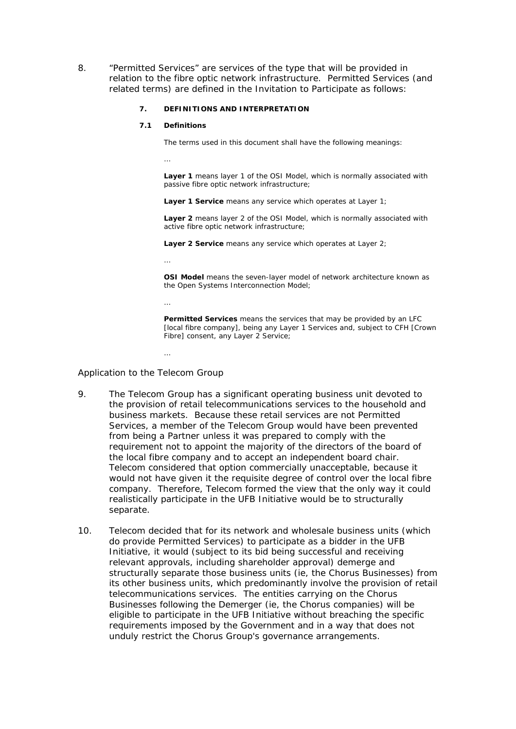8. "Permitted Services" are services of the type that will be provided in relation to the fibre optic network infrastructure. Permitted Services (and related terms) are defined in the Invitation to Participate as follows:

### **7. DEFINITIONS AND INTERPRETATION**

#### **7.1 Definitions**

…

The terms used in this document shall have the following meanings:

**Layer 1** means layer 1 of the OSI Model, which is normally associated with passive fibre optic network infrastructure;

**Layer 1 Service** means any service which operates at Layer 1;

**Layer 2** means layer 2 of the OSI Model, which is normally associated with active fibre optic network infrastructure;

**Layer 2 Service** means any service which operates at Layer 2;

…

…

…

**OSI Model** means the seven-layer model of network architecture known as the Open Systems Interconnection Model;

**Permitted Services** means the services that may be provided by an LFC [local fibre company], being any Layer 1 Services and, subject to CFH [Crown] Fibre] consent, any Layer 2 Service;

*Application to the Telecom Group* 

- 9. The Telecom Group has a significant operating business unit devoted to the provision of retail telecommunications services to the household and business markets. Because these retail services are not Permitted Services, a member of the Telecom Group would have been prevented from being a Partner unless it was prepared to comply with the requirement not to appoint the majority of the directors of the board of the local fibre company and to accept an independent board chair. Telecom considered that option commercially unacceptable, because it would not have given it the requisite degree of control over the local fibre company. Therefore, Telecom formed the view that the only way it could realistically participate in the UFB Initiative would be to structurally separate.
- 10. Telecom decided that for its network and wholesale business units (which do provide Permitted Services) to participate as a bidder in the UFB Initiative, it would (subject to its bid being successful and receiving relevant approvals, including shareholder approval) demerge and structurally separate those business units (ie, the Chorus Businesses) from its other business units, which predominantly involve the provision of retail telecommunications services. The entities carrying on the Chorus Businesses following the Demerger (ie, the Chorus companies) will be eligible to participate in the UFB Initiative without breaching the specific requirements imposed by the Government and in a way that does not unduly restrict the Chorus Group's governance arrangements.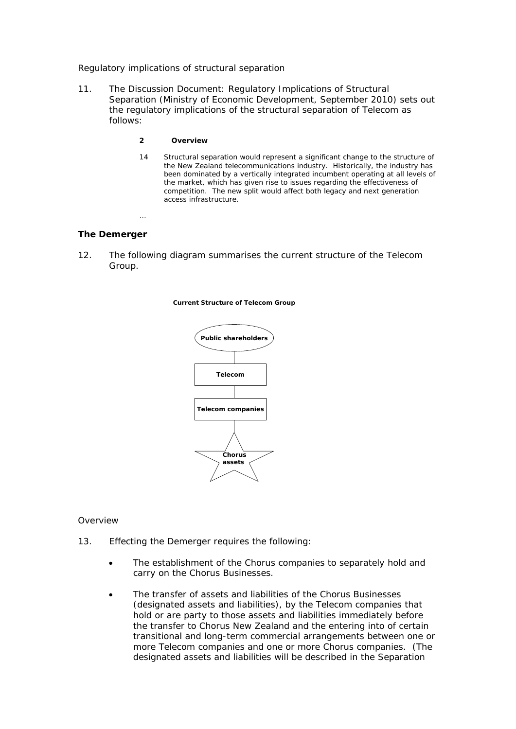### *Regulatory implications of structural separation*

- 11. The *Discussion Document: Regulatory Implications of Structural Separation* (Ministry of Economic Development, September 2010) sets out the regulatory implications of the structural separation of Telecom as follows:
	- **2 Overview**
	- 14 Structural separation would represent a significant change to the structure of the New Zealand telecommunications industry. Historically, the industry has been dominated by a vertically integrated incumbent operating at all levels of the market, which has given rise to issues regarding the effectiveness of competition. The new split would affect both legacy and next generation access infrastructure.

# **The Demerger**

…

12. The following diagram summarises the current structure of the Telecom Group.

#### **Current Structure of Telecom Group**



### *Overview*

- 13. Effecting the Demerger requires the following:
	- The establishment of the Chorus companies to separately hold and carry on the Chorus Businesses.
	- The transfer of assets and liabilities of the Chorus Businesses (designated assets and liabilities), by the Telecom companies that hold or are party to those assets and liabilities immediately before the transfer to Chorus New Zealand and the entering into of certain transitional and long-term commercial arrangements between one or more Telecom companies and one or more Chorus companies. (The designated assets and liabilities will be described in the Separation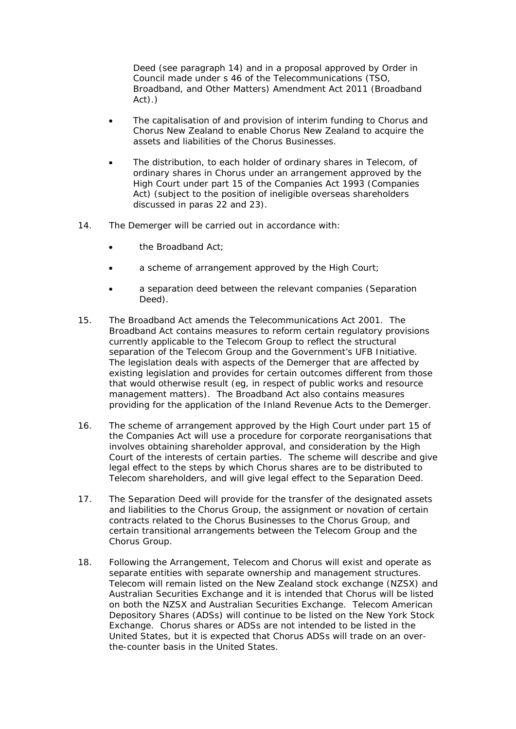Deed (see paragraph 14) and in a proposal approved by Order in Council made under s 46 of the Telecommunications (TSO, Broadband, and Other Matters) Amendment Act 2011 (Broadband Act).)

- The capitalisation of and provision of interim funding to Chorus and Chorus New Zealand to enable Chorus New Zealand to acquire the assets and liabilities of the Chorus Businesses.
- The distribution, to each holder of ordinary shares in Telecom, of ordinary shares in Chorus under an arrangement approved by the High Court under part 15 of the Companies Act 1993 (Companies Act) (subject to the position of ineligible overseas shareholders discussed in paras 22 and 23).
- 14. The Demerger will be carried out in accordance with:
	- the Broadband Act;
	- a scheme of arrangement approved by the High Court;
	- a separation deed between the relevant companies (Separation Deed).
- 15. The Broadband Act amends the Telecommunications Act 2001. The Broadband Act contains measures to reform certain regulatory provisions currently applicable to the Telecom Group to reflect the structural separation of the Telecom Group and the Government's UFB Initiative. The legislation deals with aspects of the Demerger that are affected by existing legislation and provides for certain outcomes different from those that would otherwise result (eg, in respect of public works and resource management matters). The Broadband Act also contains measures providing for the application of the Inland Revenue Acts to the Demerger.
- 16. The scheme of arrangement approved by the High Court under part 15 of the Companies Act will use a procedure for corporate reorganisations that involves obtaining shareholder approval, and consideration by the High Court of the interests of certain parties. The scheme will describe and give legal effect to the steps by which Chorus shares are to be distributed to Telecom shareholders, and will give legal effect to the Separation Deed.
- 17. The Separation Deed will provide for the transfer of the designated assets and liabilities to the Chorus Group, the assignment or novation of certain contracts related to the Chorus Businesses to the Chorus Group, and certain transitional arrangements between the Telecom Group and the Chorus Group.
- 18. Following the Arrangement, Telecom and Chorus will exist and operate as separate entities with separate ownership and management structures. Telecom will remain listed on the New Zealand stock exchange (NZSX) and Australian Securities Exchange and it is intended that Chorus will be listed on both the NZSX and Australian Securities Exchange. Telecom American Depository Shares (ADSs) will continue to be listed on the New York Stock Exchange. Chorus shares or ADSs are not intended to be listed in the United States, but it is expected that Chorus ADSs will trade on an overthe-counter basis in the United States.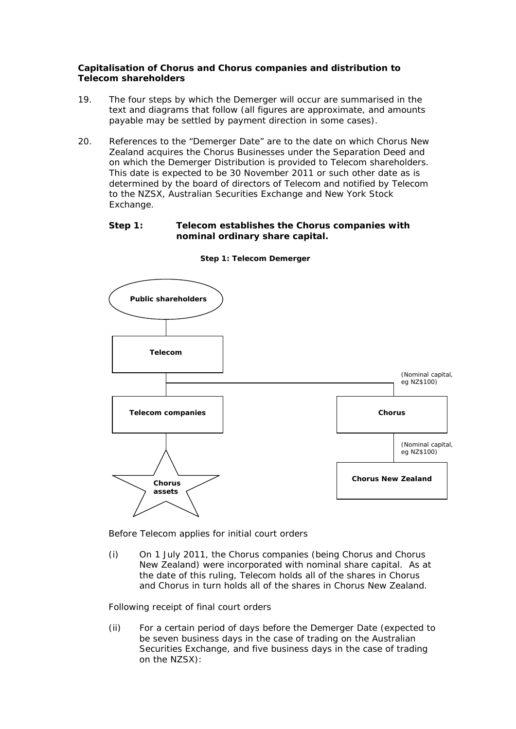# **Capitalisation of Chorus and Chorus companies and distribution to Telecom shareholders**

- 19. The four steps by which the Demerger will occur are summarised in the text and diagrams that follow (all figures are approximate, and amounts payable may be settled by payment direction in some cases).
- 20. References to the "Demerger Date" are to the date on which Chorus New Zealand acquires the Chorus Businesses under the Separation Deed and on which the Demerger Distribution is provided to Telecom shareholders. This date is expected to be 30 November 2011 or such other date as is determined by the board of directors of Telecom and notified by Telecom to the NZSX, Australian Securities Exchange and New York Stock Exchange.

# **Step 1: Telecom establishes the Chorus companies with nominal ordinary share capital.**



**Step 1: Telecom Demerger**

*Before Telecom applies for initial court orders* 

(i) On 1 July 2011, the Chorus companies (being Chorus and Chorus New Zealand) were incorporated with nominal share capital. As at the date of this ruling, Telecom holds all of the shares in Chorus and Chorus in turn holds all of the shares in Chorus New Zealand.

# *Following receipt of final court orders*

(ii) For a certain period of days before the Demerger Date (expected to be seven business days in the case of trading on the Australian Securities Exchange, and five business days in the case of trading on the NZSX):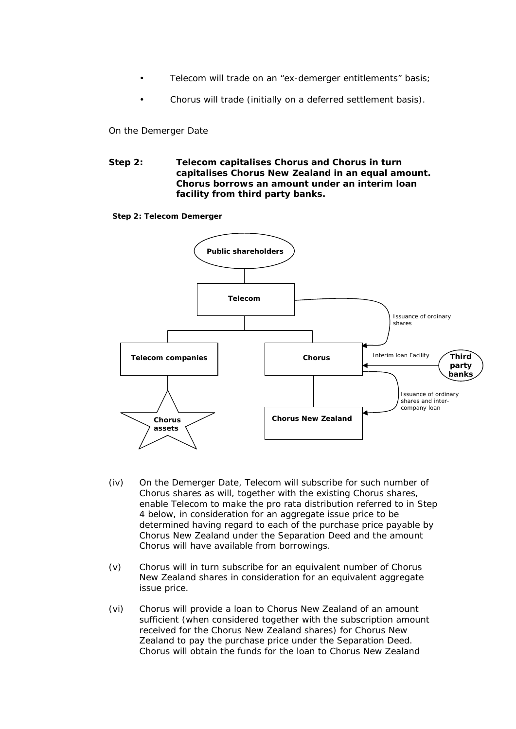- Telecom will trade on an "ex-demerger entitlements" basis;
- Chorus will trade (initially on a deferred settlement basis).

*On the Demerger Date* 

**Step 2: Telecom capitalises Chorus and Chorus in turn capitalises Chorus New Zealand in an equal amount. Chorus borrows an amount under an interim loan facility from third party banks.** 

**Step 2: Telecom Demerger**



- (iv) On the Demerger Date, Telecom will subscribe for such number of Chorus shares as will, together with the existing Chorus shares, enable Telecom to make the pro rata distribution referred to in Step 4 below, in consideration for an aggregate issue price to be determined having regard to each of the purchase price payable by Chorus New Zealand under the Separation Deed and the amount Chorus will have available from borrowings.
- (v) Chorus will in turn subscribe for an equivalent number of Chorus New Zealand shares in consideration for an equivalent aggregate issue price.
- (vi) Chorus will provide a loan to Chorus New Zealand of an amount sufficient (when considered together with the subscription amount received for the Chorus New Zealand shares) for Chorus New Zealand to pay the purchase price under the Separation Deed. Chorus will obtain the funds for the loan to Chorus New Zealand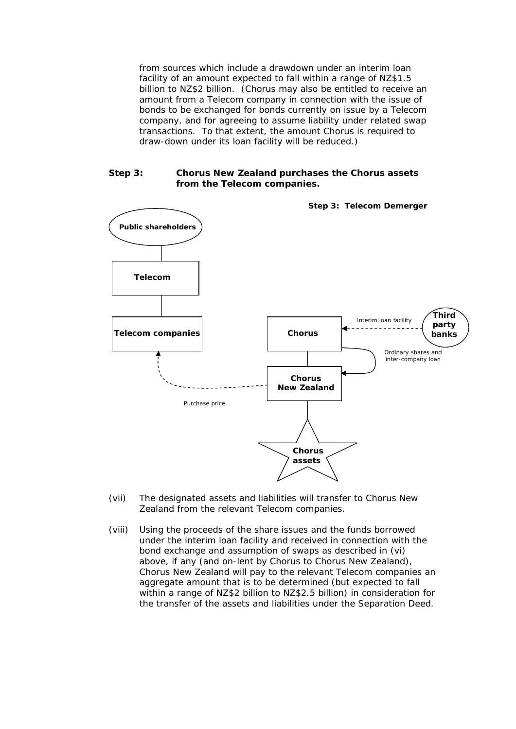from sources which include a drawdown under an interim loan facility of an amount expected to fall within a range of NZ\$1.5 billion to NZ\$2 billion. (Chorus may also be entitled to receive an amount from a Telecom company in connection with the issue of bonds to be exchanged for bonds currently on issue by a Telecom company, and for agreeing to assume liability under related swap transactions. To that extent, the amount Chorus is required to draw-down under its loan facility will be reduced.)

### **Step 3: Chorus New Zealand purchases the Chorus assets from the Telecom companies.**



- (vii) The designated assets and liabilities will transfer to Chorus New Zealand from the relevant Telecom companies.
- (viii) Using the proceeds of the share issues and the funds borrowed under the interim loan facility and received in connection with the bond exchange and assumption of swaps as described in (vi) above, if any (and on-lent by Chorus to Chorus New Zealand), Chorus New Zealand will pay to the relevant Telecom companies an aggregate amount that is to be determined (but expected to fall within a range of NZ\$2 billion to NZ\$2.5 billion) in consideration for the transfer of the assets and liabilities under the Separation Deed.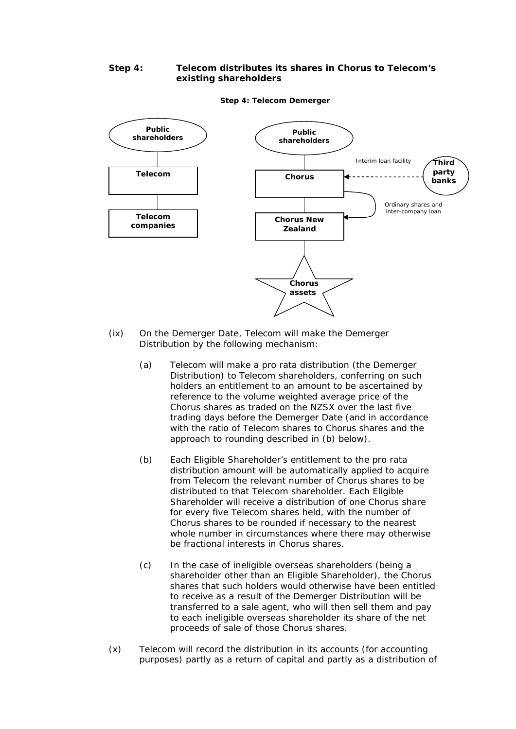# **Step 4: Telecom distributes its shares in Chorus to Telecom's existing shareholders**



#### **Step 4: Telecom Demerger**

- (ix) On the Demerger Date, Telecom will make the Demerger Distribution by the following mechanism:
	- (a) Telecom will make a pro rata distribution (the Demerger Distribution) to Telecom shareholders, conferring on such holders an entitlement to an amount to be ascertained by reference to the volume weighted average price of the Chorus shares as traded on the NZSX over the last five trading days before the Demerger Date (and in accordance with the ratio of Telecom shares to Chorus shares and the approach to rounding described in (b) below).
	- (b) Each Eligible Shareholder's entitlement to the pro rata distribution amount will be automatically applied to acquire from Telecom the relevant number of Chorus shares to be distributed to that Telecom shareholder. Each Eligible Shareholder will receive a distribution of one Chorus share for every five Telecom shares held, with the number of Chorus shares to be rounded if necessary to the nearest whole number in circumstances where there may otherwise be fractional interests in Chorus shares.
	- (c) In the case of ineligible overseas shareholders (being a shareholder other than an Eligible Shareholder), the Chorus shares that such holders would otherwise have been entitled to receive as a result of the Demerger Distribution will be transferred to a sale agent, who will then sell them and pay to each ineligible overseas shareholder its share of the net proceeds of sale of those Chorus shares.
- (x) Telecom will record the distribution in its accounts (for accounting purposes) partly as a return of capital and partly as a distribution of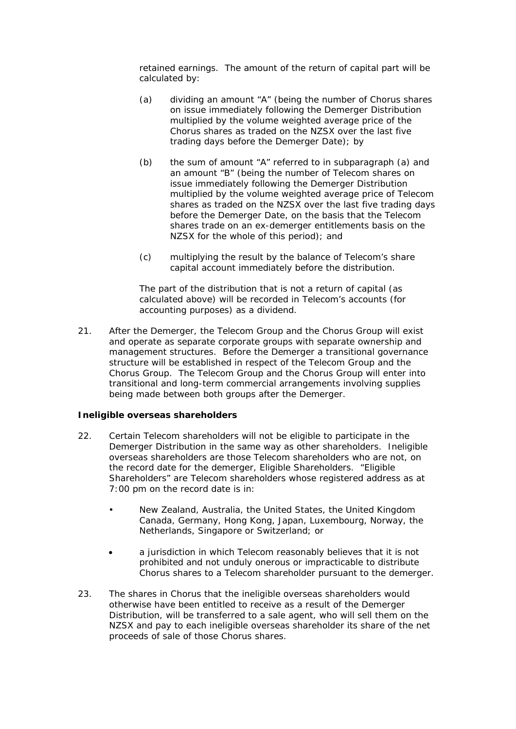retained earnings. The amount of the return of capital part will be calculated by:

- (a) dividing an amount "A" (being the number of Chorus shares on issue immediately following the Demerger Distribution multiplied by the volume weighted average price of the Chorus shares as traded on the NZSX over the last five trading days before the Demerger Date); by
- (b) the sum of amount "A" referred to in subparagraph (a) and an amount "B" (being the number of Telecom shares on issue immediately following the Demerger Distribution multiplied by the volume weighted average price of Telecom shares as traded on the NZSX over the last five trading days before the Demerger Date, on the basis that the Telecom shares trade on an ex-demerger entitlements basis on the NZSX for the whole of this period); and
- (c) multiplying the result by the balance of Telecom's share capital account immediately before the distribution.

The part of the distribution that is not a return of capital (as calculated above) will be recorded in Telecom's accounts (for accounting purposes) as a dividend.

21. After the Demerger, the Telecom Group and the Chorus Group will exist and operate as separate corporate groups with separate ownership and management structures. Before the Demerger a transitional governance structure will be established in respect of the Telecom Group and the Chorus Group. The Telecom Group and the Chorus Group will enter into transitional and long-term commercial arrangements involving supplies being made between both groups after the Demerger.

# *Ineligible overseas shareholders*

- 22. Certain Telecom shareholders will not be eligible to participate in the Demerger Distribution in the same way as other shareholders. Ineligible overseas shareholders are those Telecom shareholders who are not, on the record date for the demerger, Eligible Shareholders. "Eligible Shareholders" are Telecom shareholders whose registered address as at 7:00 pm on the record date is in:
	- New Zealand, Australia, the United States, the United Kingdom Canada, Germany, Hong Kong, Japan, Luxembourg, Norway, the Netherlands, Singapore or Switzerland; or
	- a jurisdiction in which Telecom reasonably believes that it is not prohibited and not unduly onerous or impracticable to distribute Chorus shares to a Telecom shareholder pursuant to the demerger.
- 23. The shares in Chorus that the ineligible overseas shareholders would otherwise have been entitled to receive as a result of the Demerger Distribution, will be transferred to a sale agent, who will sell them on the NZSX and pay to each ineligible overseas shareholder its share of the net proceeds of sale of those Chorus shares.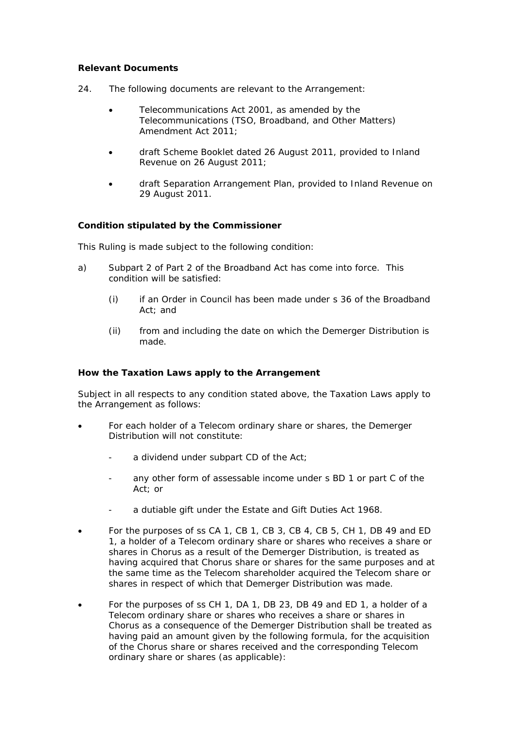# **Relevant Documents**

- 24. The following documents are relevant to the Arrangement:
	- Telecommunications Act 2001, as amended by the Telecommunications (TSO, Broadband, and Other Matters) Amendment Act 2011;
	- draft Scheme Booklet dated 26 August 2011, provided to Inland Revenue on 26 August 2011;
	- draft Separation Arrangement Plan, provided to Inland Revenue on 29 August 2011.

# **Condition stipulated by the Commissioner**

This Ruling is made subject to the following condition:

- a) Subpart 2 of Part 2 of the Broadband Act has come into force. This condition will be satisfied:
	- (i) if an Order in Council has been made under s 36 of the Broadband Act; and
	- (ii) from and including the date on which the Demerger Distribution is made.

# **How the Taxation Laws apply to the Arrangement**

Subject in all respects to any condition stated above, the Taxation Laws apply to the Arrangement as follows:

- For each holder of a Telecom ordinary share or shares, the Demerger Distribution will not constitute:
	- a dividend under subpart CD of the Act;
	- any other form of assessable income under s BD 1 or part C of the Act; or
	- a dutiable gift under the Estate and Gift Duties Act 1968.
- For the purposes of ss CA 1, CB 1, CB 3, CB 4, CB 5, CH 1, DB 49 and ED 1, a holder of a Telecom ordinary share or shares who receives a share or shares in Chorus as a result of the Demerger Distribution, is treated as having acquired that Chorus share or shares for the same purposes and at the same time as the Telecom shareholder acquired the Telecom share or shares in respect of which that Demerger Distribution was made.
- For the purposes of ss CH 1, DA 1, DB 23, DB 49 and ED 1, a holder of a Telecom ordinary share or shares who receives a share or shares in Chorus as a consequence of the Demerger Distribution shall be treated as having paid an amount given by the following formula, for the acquisition of the Chorus share or shares received and the corresponding Telecom ordinary share or shares (as applicable):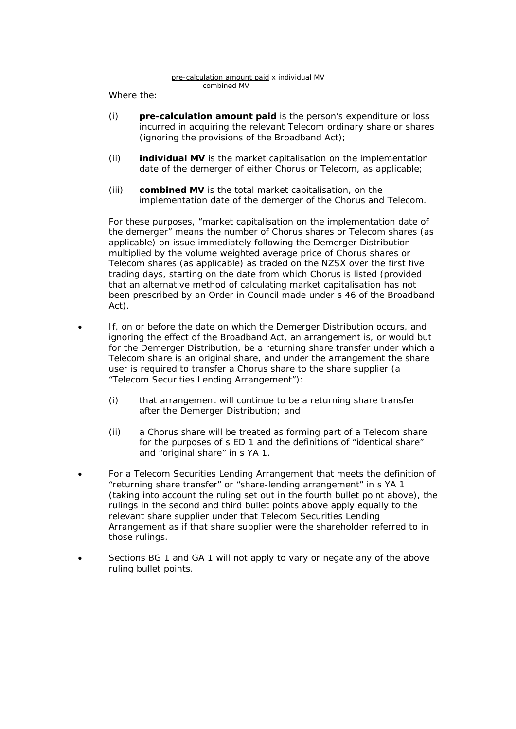Where the:

- (i) **pre-calculation amount paid** is the person's expenditure or loss incurred in acquiring the relevant Telecom ordinary share or shares (ignoring the provisions of the Broadband Act);
- (ii) **individual MV** is the market capitalisation on the implementation date of the demerger of either Chorus or Telecom, as applicable;
- (iii) **combined MV** is the total market capitalisation, on the implementation date of the demerger of the Chorus and Telecom.

For these purposes, "market capitalisation on the implementation date of the demerger" means the number of Chorus shares or Telecom shares (as applicable) on issue immediately following the Demerger Distribution multiplied by the volume weighted average price of Chorus shares or Telecom shares (as applicable) as traded on the NZSX over the first five trading days, starting on the date from which Chorus is listed (provided that an alternative method of calculating market capitalisation has not been prescribed by an Order in Council made under s 46 of the Broadband Act).

- If, on or before the date on which the Demerger Distribution occurs, and ignoring the effect of the Broadband Act, an arrangement is, or would but for the Demerger Distribution, be a returning share transfer under which a Telecom share is an original share, and under the arrangement the share user is required to transfer a Chorus share to the share supplier (a "Telecom Securities Lending Arrangement"):
	- (i) that arrangement will continue to be a returning share transfer after the Demerger Distribution; and
	- (ii) a Chorus share will be treated as forming part of a Telecom share for the purposes of s ED 1 and the definitions of "identical share" and "original share" in s YA 1.
- For a Telecom Securities Lending Arrangement that meets the definition of "returning share transfer" or "share-lending arrangement" in s YA 1 (taking into account the ruling set out in the fourth bullet point above), the rulings in the second and third bullet points above apply equally to the relevant share supplier under that Telecom Securities Lending Arrangement as if that share supplier were the shareholder referred to in those rulings.
- Sections BG 1 and GA 1 will not apply to vary or negate any of the above ruling bullet points.